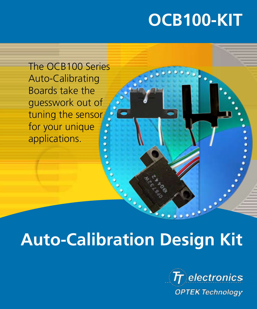# **OCB100-KIT**

The OCB100 Series Auto-Calibrating Boards take the guesswork out of tuning the sensor for your unique applications.

# **Auto-Calibration Design Kit**



. . . . . .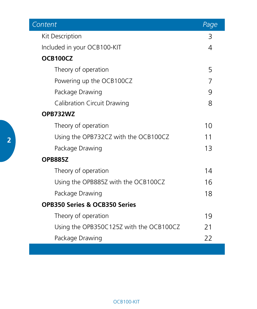| Content                                 | Page |  |  |
|-----------------------------------------|------|--|--|
| Kit Description                         | 3    |  |  |
| Included in your OCB100-KIT             | 4    |  |  |
| OCB100CZ                                |      |  |  |
| Theory of operation                     | 5    |  |  |
| Powering up the OCB100CZ                | 7    |  |  |
| Package Drawing                         | 9    |  |  |
| Calibration Circuit Drawing             | 8    |  |  |
| OPB732WZ                                |      |  |  |
| Theory of operation                     | 10   |  |  |
| Using the OPB732CZ with the OCB100CZ    | 11   |  |  |
| Package Drawing                         | 13   |  |  |
| <b>OPB885Z</b>                          |      |  |  |
| Theory of operation                     | 14   |  |  |
| Using the OPB885Z with the OCB100CZ     | 16   |  |  |
| Package Drawing                         | 18   |  |  |
| OPB350 Series & OCB350 Series           |      |  |  |
| Theory of operation                     | 19   |  |  |
| Using the OPB350C125Z with the OCB100CZ | 21   |  |  |
| Package Drawing                         | 22   |  |  |
|                                         |      |  |  |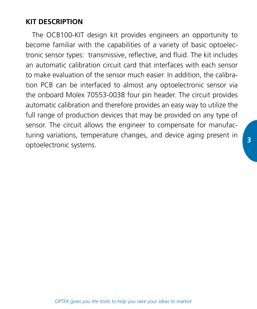# **KIT DESCRIPTION**

The OCB100-KIT design kit provides engineers an opportunity to become familiar with the capabilities of a variety of basic optoelectronic sensor types: transmissive, reflective, and fluid. The kit includes an automatic calibration circuit card that interfaces with each sensor to make evaluation of the sensor much easier. In addition, the calibration PCB can be interfaced to almost any optoelectronic sensor via the onboard Molex 70553-0038 four pin header. The circuit provides automatic calibration and therefore provides an easy way to utilize the full range of production devices that may be provided on any type of sensor. The circuit allows the engineer to compensate for manufacturing variations, temperature changes, and device aging present in optoelectronic systems.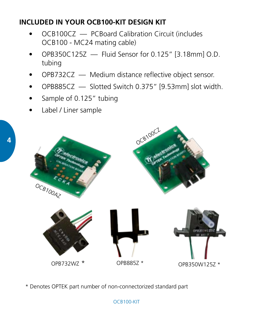# **INCLUDED IN YOUR OCB100-KIT DESIGN KIT**

- OCB100CZ PCBoard Calibration Circuit (includes OCB100 - MC24 mating cable)
- $OPB350C125Z$  Fluid Sensor for 0.125" [3.18mm] O.D. tubing
- OPB732CZ Medium distance reflective object sensor.
- OPB885CZ Slotted Switch 0.375" [9.53mm] slot width.
- Sample of 0.125" tubing
- Label / Liner sample



\* Denotes OPTEK part number of non-connectorized standard part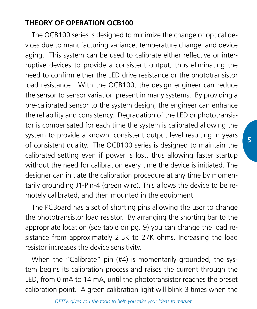# **THEORY OF OPERATION OCB100**

The OCB100 series is designed to minimize the change of optical devices due to manufacturing variance, temperature change, and device aging. This system can be used to calibrate either reflective or interruptive devices to provide a consistent output, thus eliminating the need to confirm either the LED drive resistance or the phototransistor load resistance. With the OCB100, the design engineer can reduce the sensor to sensor variation present in many systems. By providing a pre-calibrated sensor to the system design, the engineer can enhance the reliability and consistency. Degradation of the LED or phototransistor is compensated for each time the system is calibrated allowing the system to provide a known, consistent output level resulting in years of consistent quality. The OCB100 series is designed to maintain the calibrated setting even if power is lost, thus allowing faster startup without the need for calibration every time the device is initiated. The designer can initiate the calibration procedure at any time by momentarily grounding J1-Pin-4 (green wire). This allows the device to be remotely calibrated, and then mounted in the equipment.

The PCBoard has a set of shorting pins allowing the user to change the phototransistor load resistor. By arranging the shorting bar to the appropriate location (see table on pg. 9) you can change the load resistance from approximately 2.5K to 27K ohms. Increasing the load resistor increases the device sensitivity.

When the "Calibrate" pin (#4) is momentarily grounded, the system begins its calibration process and raises the current through the LED, from 0 mA to 14 mA, until the phototransistor reaches the preset calibration point. A green calibration light will blink 3 times when the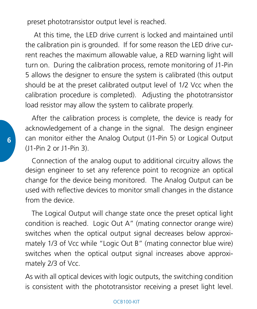preset phototransistor output level is reached.

 At this time, the LED drive current is locked and maintained until the calibration pin is grounded. If for some reason the LED drive current reaches the maximum allowable value, a RED warning light will turn on. During the calibration process, remote monitoring of J1-Pin 5 allows the designer to ensure the system is calibrated (this output should be at the preset calibrated output level of 1/2 Vcc when the calibration procedure is completed). Adjusting the phototransistor load resistor may allow the system to calibrate properly.

After the calibration process is complete, the device is ready for acknowledgement of a change in the signal. The design engineer can monitor either the Analog Output (J1-Pin 5) or Logical Output (J1-Pin 2 or J1-Pin 3).

Connection of the analog ouput to additional circuitry allows the design engineer to set any reference point to recognize an optical change for the device being monitored. The Analog Output can be used with reflective devices to monitor small changes in the distance from the device.

The Logical Output will change state once the preset optical light condition is reached. Logic Out A" (mating connector orange wire) switches when the optical output signal decreases below approximately 1/3 of Vcc while "Logic Out B" (mating connector blue wire) switches when the optical output signal increases above approximately 2/3 of Vcc.

As with all optical devices with logic outputs, the switching condition is consistent with the phototransistor receiving a preset light level.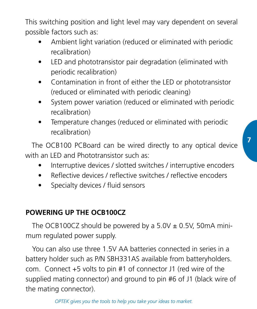This switching position and light level may vary dependent on several possible factors such as:

- Ambient light variation (reduced or eliminated with periodic recalibration)
- LED and phototransistor pair degradation (eliminated with periodic recalibration)
- Contamination in front of either the LED or phototransistor (reduced or eliminated with periodic cleaning)
- System power variation (reduced or eliminated with periodic recalibration)
- Temperature changes (reduced or eliminated with periodic recalibration)

The OCB100 PCBoard can be wired directly to any optical device with an LED and Phototransistor such as:

- Interruptive devices / slotted switches / interruptive encoders
- Reflective devices / reflective switches / reflective encoders
- Specialty devices / fluid sensors

## **POWERING UP THE OCB100CZ**

The OCB100CZ should be powered by a  $5.0V \pm 0.5V$ , 50mA minimum regulated power supply.

You can also use three 1.5V AA batteries connected in series in a battery holder such as P/N SBH331AS available from batteryholders. com. Connect +5 volts to pin #1 of connector J1 (red wire of the supplied mating connector) and ground to pin #6 of J1 (black wire of the mating connector).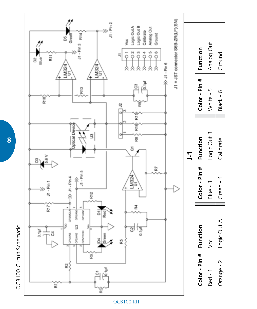

OCB100 Circuit Schematic OCB100 Circuit Schematic

**8**

#### OCB100-KIT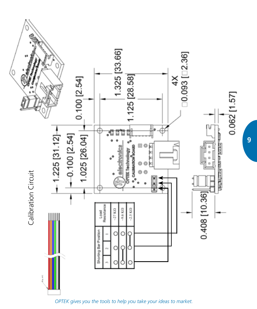

*OPTEK gives you the tools to help you take your ideas to market.*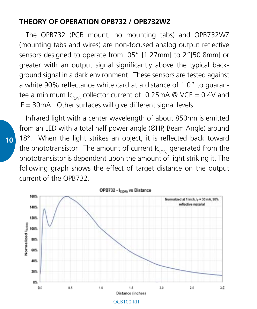#### **THEORY OF OPERATION OPB732 / OPB732WZ**

The OPB732 (PCB mount, no mounting tabs) and OPB732WZ (mounting tabs and wires) are non-focused analog output reflective sensors designed to operate from .05" [1.27mm] to 2"[50.8mm] or greater with an output signal significantly above the typical background signal in a dark environment. These sensors are tested against a white 90% reflectance white card at a distance of 1.0" to guarantee a minimum  $lc_{\text{cont}}$  collector current of 0.25mA @ VCE = 0.4V and IF = 30mA. Other surfaces will give different signal levels.

Infrared light with a center wavelength of about 850nm is emitted from an LED with a total half power angle (ØHP, Beam Angle) around 18°. When the light strikes an object, it is reflected back toward the phototransistor. The amount of current  $lc<sub>conv</sub>$  generated from the phototransistor is dependent upon the amount of light striking it. The following graph shows the effect of target distance on the output current of the OPB732.

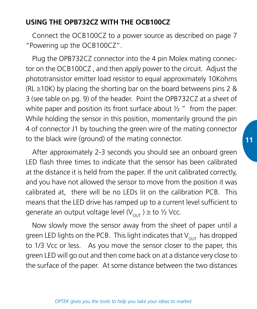## **USING THE OPB732CZ WITH THE OCB100CZ**

Connect the OCB100CZ to a power source as described on page 7 "Powering up the OCB100CZ".

Plug the OPB732CZ connector into the 4 pin Molex mating connector on the OCB100CZ , and then apply power to the circuit. Adjust the phototransistor emitter load resistor to equal approximately 10Kohms  $(RL \approx 10K)$  by placing the shorting bar on the board betweens pins 2 & 3 (see table on pg. 9) of the header. Point the OPB732CZ at a sheet of white paper and position its front surface about  $\frac{1}{2}$  " from the paper. While holding the sensor in this position, momentarily ground the pin 4 of connector J1 by touching the green wire of the mating connector to the black wire (ground) of the mating connector.

After approximately 2-3 seconds you should see an onboard green LED flash three times to indicate that the sensor has been calibrated at the distance it is held from the paper. If the unit calibrated correctly, and you have not allowed the sensor to move from the position it was calibrated at, there will be no LEDs lit on the calibration PCB. This means that the LED drive has ramped up to a current level sufficient to generate an output voltage level ( $V_{\text{out}}$ )  $\cong$  to  $\frac{1}{2}$  Vcc.

Now slowly move the sensor away from the sheet of paper until a green LED lights on the PCB. This light indicates that  $V_{\text{out}}$  has dropped to 1/3 Vcc or less. As you move the sensor closer to the paper, this green LED will go out and then come back on at a distance very close to the surface of the paper. At some distance between the two distances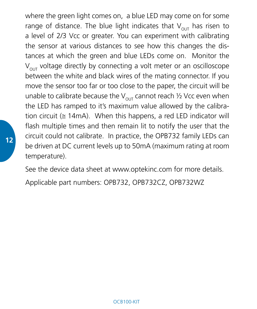where the green light comes on, a blue LED may come on for some range of distance. The blue light indicates that  $V_{\text{out}}$  has risen to a level of 2/3 Vcc or greater. You can experiment with calibrating the sensor at various distances to see how this changes the distances at which the green and blue LEDs come on. Monitor the  $V<sub>out</sub>$  voltage directly by connecting a volt meter or an oscilloscope between the white and black wires of the mating connector. If you move the sensor too far or too close to the paper, the circuit will be unable to calibrate because the  $V_{\text{out}}$  cannot reach  $\frac{1}{2}$  Vcc even when the LED has ramped to it's maximum value allowed by the calibration circuit ( $\approx$  14mA). When this happens, a red LED indicator will flash multiple times and then remain lit to notify the user that the circuit could not calibrate. In practice, the OPB732 family LEDs can be driven at DC current levels up to 50mA (maximum rating at room temperature).

See the device data sheet at www.optekinc.com for more details.

Applicable part numbers: OPB732, OPB732CZ, OPB732WZ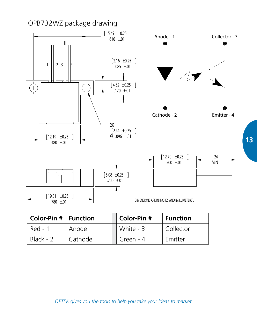

| $\vert$ Color-Pin $\sharp \vert$ Function |         | Color-Pin # | $\vert$ Function       |
|-------------------------------------------|---------|-------------|------------------------|
| Red - 1                                   | Anode   | White - 3   | <sup>I</sup> Collector |
| Black - 2                                 | Cathode | Green - 4   | Emitter                |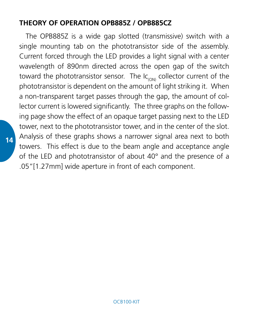## **THEORY OF OPERATION OPB885Z / OPB885CZ**

The OPB885Z is a wide gap slotted (transmissive) switch with a single mounting tab on the phototransistor side of the assembly. Current forced through the LED provides a light signal with a center wavelength of 890nm directed across the open gap of the switch toward the phototransistor sensor. The  $lc_{(ON)}$  collector current of the phototransistor is dependent on the amount of light striking it. When a non-transparent target passes through the gap, the amount of collector current is lowered significantly. The three graphs on the following page show the effect of an opaque target passing next to the LED tower, next to the phototransistor tower, and in the center of the slot. Analysis of these graphs shows a narrower signal area next to both towers. This effect is due to the beam angle and acceptance angle of the LED and phototransistor of about 40° and the presence of a .05"[1.27mm] wide aperture in front of each component.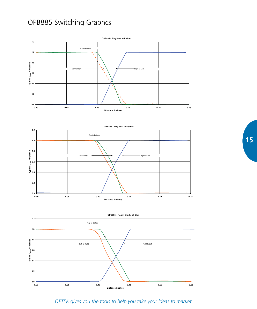# OPB885 Switching Graphcs





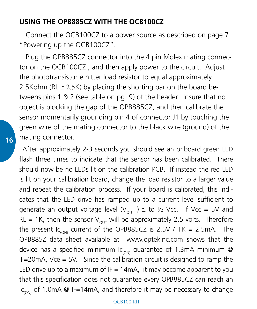#### **USING THE OPB885CZ WITH THE OCB100CZ**

Connect the OCB100CZ to a power source as described on page 7 "Powering up the OCB100CZ".

Plug the OPB885CZ connector into the 4 pin Molex mating connector on the OCB100CZ , and then apply power to the circuit. Adjust the phototransistor emitter load resistor to equal approximately 2.5Kohm (RL  $\approx$  2.5K) by placing the shorting bar on the board betweens pins 1 & 2 (see table on pg. 9) of the header. Insure that no object is blocking the gap of the OPB885CZ, and then calibrate the sensor momentarily grounding pin 4 of connector J1 by touching the green wire of the mating connector to the black wire (ground) of the mating connector.

After approximately 2-3 seconds you should see an onboard green LED flash three times to indicate that the sensor has been calibrated. There should now be no LEDs lit on the calibration PCB. If instead the red LED is lit on your calibration board, change the load resistor to a larger value and repeat the calibration process. If your board is calibrated, this indicates that the LED drive has ramped up to a current level sufficient to generate an output voltage level  $(V_{\text{out}}) \cong$  to  $\frac{1}{2}$  Vcc. If Vcc = 5V and RL = 1K, then the sensor  $V_{\text{out}}$  will be approximately 2.5 volts. Therefore the present  $lc<sub>conv</sub>$  current of the OPB885CZ is 2.5V / 1K = 2.5mA. The OPB885Z data sheet available at www.optekinc.com shows that the device has a specified minimum  $lc<sub>conv</sub>$  guarantee of 1.3mA minimum @ IF=20mA, Vce = 5V. Since the calibration circuit is designed to ramp the LED drive up to a maximum of  $IF = 14mA$ , it may become apparent to you that this specification does not guarantee every OPB885CZ can reach an Ic<sub>(ON)</sub> of 1.0mA @ IF=14mA, and therefore it may be necessary to change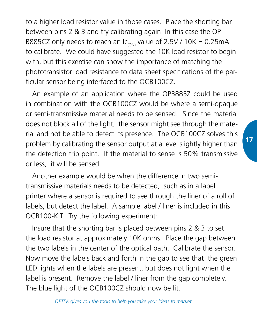to a higher load resistor value in those cases. Place the shorting bar between pins 2 & 3 and try calibrating again. In this case the OP-B885CZ only needs to reach an  $lc<sub>conv</sub>$  value of 2.5V / 10K = 0.25mA to calibrate. We could have suggested the 10K load resistor to begin with, but this exercise can show the importance of matching the phototransistor load resistance to data sheet specifications of the particular sensor being interfaced to the OCB100CZ.

An example of an application where the OPB885Z could be used in combination with the OCB100CZ would be where a semi-opaque or semi-transmissive material needs to be sensed. Since the material does not block all of the light, the sensor might see through the material and not be able to detect its presence. The OCB100CZ solves this problem by calibrating the sensor output at a level slightly higher than the detection trip point. If the material to sense is 50% transmissive or less, it will be sensed.

Another example would be when the difference in two semitransmissive materials needs to be detected, such as in a label printer where a sensor is required to see through the liner of a roll of labels, but detect the label. A sample label / liner is included in this OCB100-KIT. Try the following experiment:

Insure that the shorting bar is placed between pins 2 & 3 to set the load resistor at approximately 10K ohms. Place the gap between the two labels in the center of the optical path. Calibrate the sensor. Now move the labels back and forth in the gap to see that the green LED lights when the labels are present, but does not light when the label is present. Remove the label / liner from the gap completely. The blue light of the OCB100CZ should now be lit.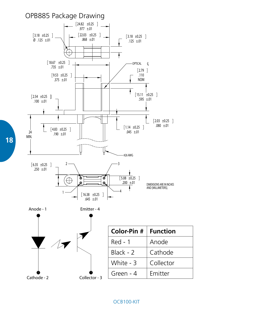

**18**

#### OCB100-KIT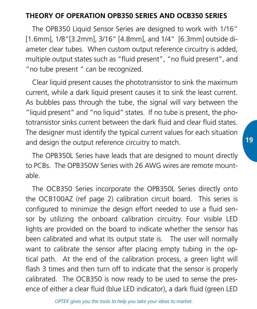# **THEORY OF OPERATION OPB350 SERIES AND OCB350 SERIES**

The OPB350 Liquid Sensor Series are designed to work with 1/16" [1.6mm], 1/8"[3.2mm], 3/16" [4.8mm], and 1/4" [6.3mm] outside diameter clear tubes. When custom output reference circuitry is added, multiple output states such as "fluid present", "no fluid present", and "no tube present " can be recognized.

Clear liquid present causes the phototransistor to sink the maximum current, while a dark liquid present causes it to sink the least current. As bubbles pass through the tube, the signal will vary between the "liquid present" and "no liquid" states. If no tube is present, the phototransistor sinks current between the dark fluid and clear fluid states. The designer must identify the typical current values for each situation and design the output reference circuitry to match.

The OPB350L Series have leads that are designed to mount directly to PCBs. The OPB350W Series with 26 AWG wires are remote mountable.

The OCB350 Series incorporate the OPB350L Series directly onto the OCB100AZ (ref page 2) calibration circuit board. This series is configured to minimize the design effort needed to use a fluid sensor by utilizing the onboard calibration circuitry. Four visible LED lights are provided on the board to indicate whether the sensor has been calibrated and what its output state is. The user will normally want to calibrate the sensor after placing empty tubing in the optical path. At the end of the calibration process, a green light will flash 3 times and then turn off to indicate that the sensor is properly calibrated. The OCB350 is now ready to be used to sense the presence of either a clear fluid (blue LED indicator), a dark fluid (green LED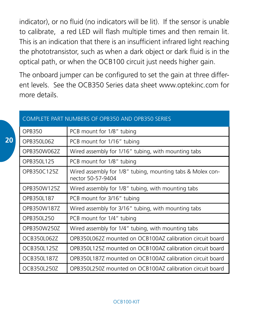indicator), or no fluid (no indicators will be lit). If the sensor is unable to calibrate, a red LED will flash multiple times and then remain lit. This is an indication that there is an insufficient infrared light reaching the phototransistor, such as when a dark object or dark fluid is in the optical path, or when the OCB100 circuit just needs higher gain.

The onboard jumper can be configured to set the gain at three different levels. See the OCB350 Series data sheet www.optekinc.com for more details.

| COMPLETE PART NUMBERS OF OPB350 AND OPB350 SERIES |                                                                                 |  |
|---------------------------------------------------|---------------------------------------------------------------------------------|--|
| OPB350                                            | PCB mount for 1/8" tubing                                                       |  |
| OPB350L062                                        | PCB mount for 1/16" tubing                                                      |  |
| OPB350W0627                                       | Wired assembly for 1/16" tubing, with mounting tabs                             |  |
| OPB350L125                                        | PCB mount for 1/8" tubing                                                       |  |
| OPB350C1257                                       | Wired assembly for 1/8" tubing, mounting tabs & Molex con-<br>nector 50-57-9404 |  |
| OPB350W125Z                                       | Wired assembly for 1/8" tubing, with mounting tabs                              |  |
| OPB350L187                                        | PCB mount for 3/16" tubing                                                      |  |
| OPB350W1877                                       | Wired assembly for 3/16" tubing, with mounting tabs                             |  |
| OPB3501250                                        | PCB mount for 1/4" tubing                                                       |  |
| OPB350W2507                                       | Wired assembly for 1/4" tubing, with mounting tabs                              |  |
| OCB35010627                                       | OPB350L0627 mounted on OCB100A7 calibration circuit board                       |  |
| OCB350L125Z                                       | OPB350L125Z mounted on OCB100AZ calibration circuit board                       |  |
| OCB350L187Z                                       | OPB350L187Z mounted on OCB100AZ calibration circuit board                       |  |
| OCB350L250Z                                       | OPB350L250Z mounted on OCB100AZ calibration circuit board                       |  |

#### COMPLETE PART NUMBERS OF OPB350 AND OPB350 SERIES

#### OCB100-KIT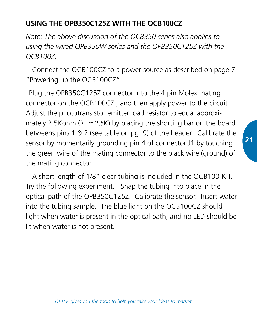# **USING THE OPB350C125Z WITH THE OCB100CZ**

*Note: The above discussion of the OCB350 series also applies to using the wired OPB350W series and the OPB350C125Z with the OCB100Z.*

Connect the OCB100CZ to a power source as described on page 7 "Powering up the OCB100CZ".

Plug the OPB350C125Z connector into the 4 pin Molex mating connector on the OCB100CZ , and then apply power to the circuit. Adjust the phototransistor emitter load resistor to equal approximately 2.5Kohm (RL  $\approx$  2.5K) by placing the shorting bar on the board betweens pins 1 & 2 (see table on pg. 9) of the header. Calibrate the sensor by momentarily grounding pin 4 of connector J1 by touching the green wire of the mating connector to the black wire (ground) of the mating connector.

A short length of 1/8" clear tubing is included in the OCB100-KIT. Try the following experiment. Snap the tubing into place in the optical path of the OPB350C125Z. Calibrate the sensor. Insert water into the tubing sample. The blue light on the OCB100CZ should light when water is present in the optical path, and no LED should be lit when water is not present.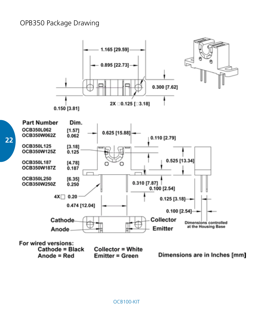### OPB350 Package Drawing

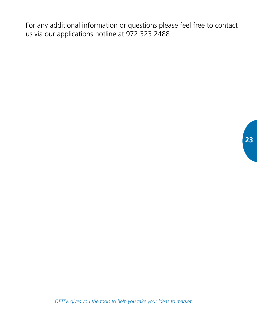For any additional information or questions please feel free to contact us via our applications hotline at 972.323.2488